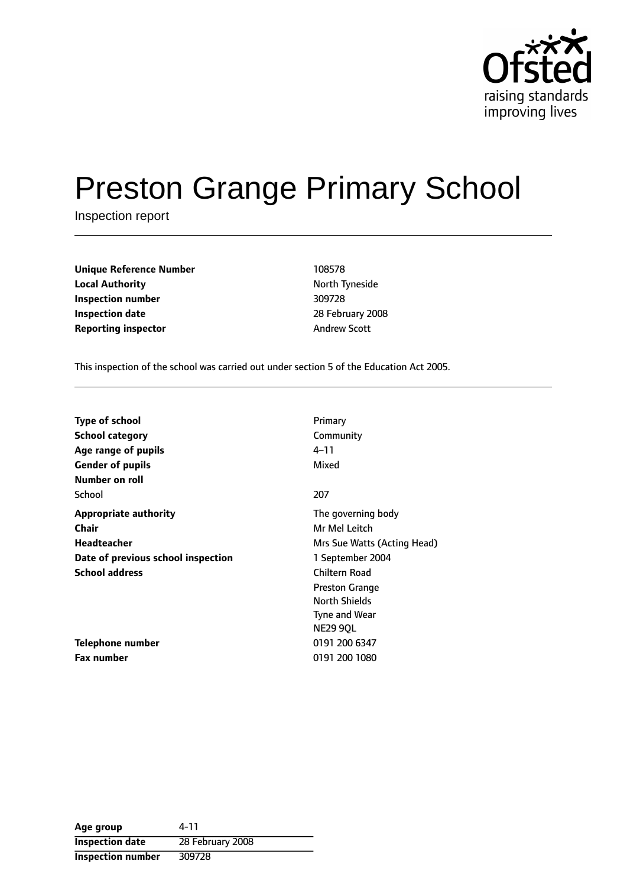

# Preston Grange Primary School

Inspection report

| <b>Unique Reference Number</b> | 108578               |
|--------------------------------|----------------------|
| <b>Local Authority</b>         | <b>North Tynesid</b> |
| Inspection number              | 309728               |
| <b>Inspection date</b>         | 28 February 2        |
| <b>Reporting inspector</b>     | <b>Andrew Scott</b>  |

**North Tyneside Inspection number** 309728 **Inspection date** 28 February 2008

This inspection of the school was carried out under section 5 of the Education Act 2005.

| Type of school                     | Primary                     |
|------------------------------------|-----------------------------|
| <b>School category</b>             | Community                   |
| Age range of pupils                | $4 - 11$                    |
| <b>Gender of pupils</b>            | Mixed                       |
| Number on roll                     |                             |
| School                             | 207                         |
| <b>Appropriate authority</b>       | The governing body          |
| Chair                              | Mr Mel Leitch               |
| <b>Headteacher</b>                 | Mrs Sue Watts (Acting Head) |
| Date of previous school inspection | 1 September 2004            |
| <b>School address</b>              | Chiltern Road               |
|                                    | <b>Preston Grange</b>       |
|                                    | <b>North Shields</b>        |
|                                    | Tyne and Wear               |
|                                    | <b>NE29 90L</b>             |
| <b>Telephone number</b>            | 0191 200 6347               |
| <b>Fax number</b>                  | 0191 200 1080               |

**Age group** 4-11 **Inspection date** 28 February 2008 **Inspection number** 309728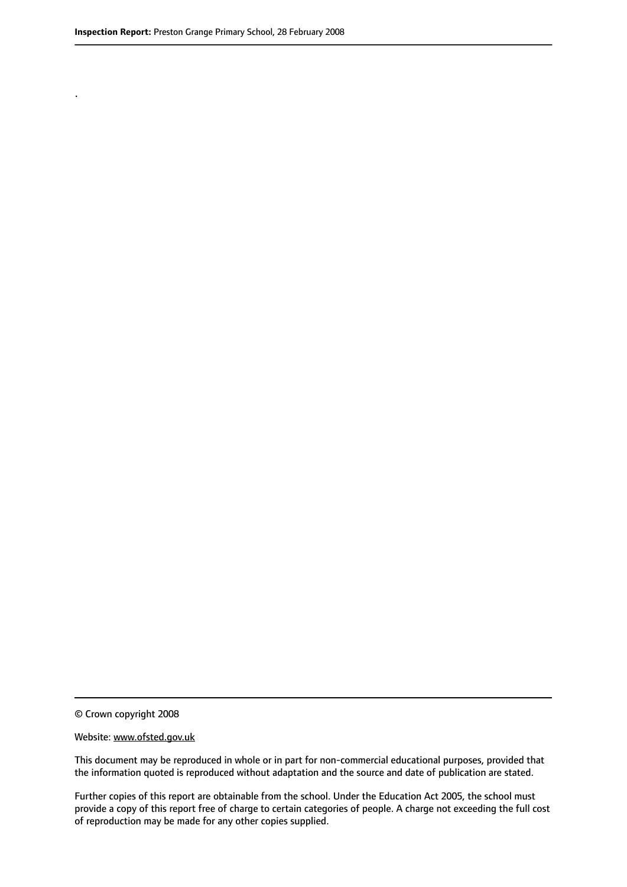.

© Crown copyright 2008

#### Website: www.ofsted.gov.uk

This document may be reproduced in whole or in part for non-commercial educational purposes, provided that the information quoted is reproduced without adaptation and the source and date of publication are stated.

Further copies of this report are obtainable from the school. Under the Education Act 2005, the school must provide a copy of this report free of charge to certain categories of people. A charge not exceeding the full cost of reproduction may be made for any other copies supplied.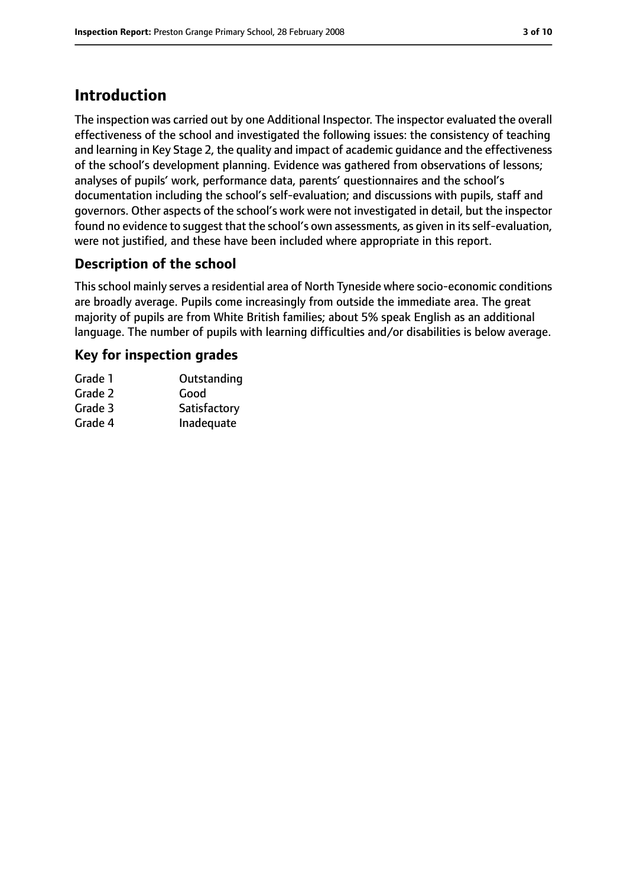# **Introduction**

The inspection was carried out by one Additional Inspector. The inspector evaluated the overall effectiveness of the school and investigated the following issues: the consistency of teaching and learning in Key Stage 2, the quality and impact of academic guidance and the effectiveness of the school's development planning. Evidence was gathered from observations of lessons; analyses of pupils' work, performance data, parents' questionnaires and the school's documentation including the school's self-evaluation; and discussions with pupils, staff and governors. Other aspects of the school's work were not investigated in detail, but the inspector found no evidence to suggest that the school's own assessments, as given in its self-evaluation, were not justified, and these have been included where appropriate in this report.

## **Description of the school**

Thisschool mainly serves a residential area of North Tyneside where socio-economic conditions are broadly average. Pupils come increasingly from outside the immediate area. The great majority of pupils are from White British families; about 5% speak English as an additional language. The number of pupils with learning difficulties and/or disabilities is below average.

## **Key for inspection grades**

| Grade 1 | Outstanding  |
|---------|--------------|
| Grade 2 | Good         |
| Grade 3 | Satisfactory |
| Grade 4 | Inadequate   |
|         |              |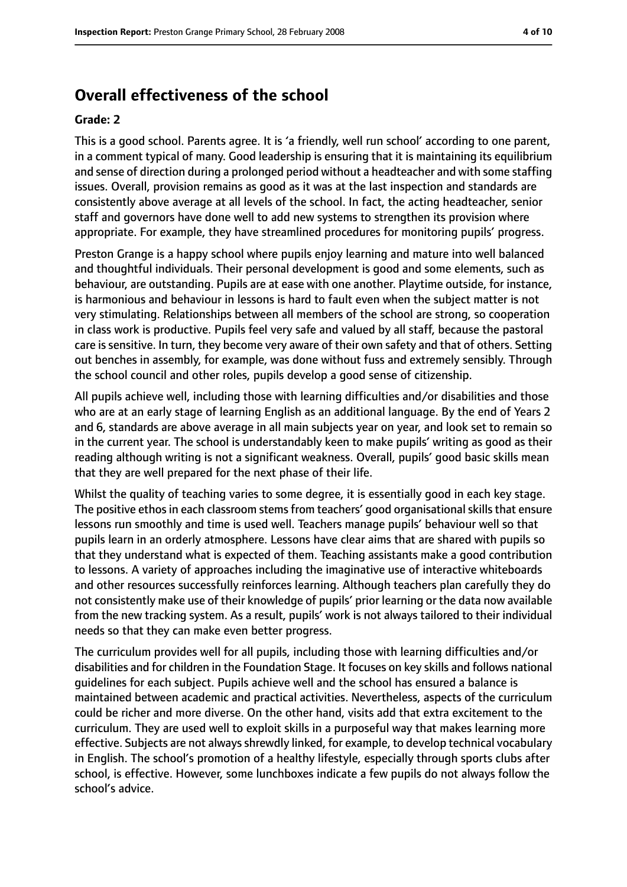## **Overall effectiveness of the school**

#### **Grade: 2**

This is a good school. Parents agree. It is 'a friendly, well run school' according to one parent, in a comment typical of many. Good leadership is ensuring that it is maintaining its equilibrium and sense of direction during a prolonged period without a headteacher and with some staffing issues. Overall, provision remains as good as it was at the last inspection and standards are consistently above average at all levels of the school. In fact, the acting headteacher, senior staff and governors have done well to add new systems to strengthen its provision where appropriate. For example, they have streamlined procedures for monitoring pupils' progress.

Preston Grange is a happy school where pupils enjoy learning and mature into well balanced and thoughtful individuals. Their personal development is good and some elements, such as behaviour, are outstanding. Pupils are at ease with one another. Playtime outside, for instance, is harmonious and behaviour in lessons is hard to fault even when the subject matter is not very stimulating. Relationships between all members of the school are strong, so cooperation in class work is productive. Pupils feel very safe and valued by all staff, because the pastoral care issensitive. In turn, they become very aware of their own safety and that of others. Setting out benches in assembly, for example, was done without fuss and extremely sensibly. Through the school council and other roles, pupils develop a good sense of citizenship.

All pupils achieve well, including those with learning difficulties and/or disabilities and those who are at an early stage of learning English as an additional language. By the end of Years 2 and 6, standards are above average in all main subjects year on year, and look set to remain so in the current year. The school is understandably keen to make pupils' writing as good as their reading although writing is not a significant weakness. Overall, pupils' good basic skills mean that they are well prepared for the next phase of their life.

Whilst the quality of teaching varies to some degree, it is essentially good in each key stage. The positive ethos in each classroom stems from teachers' good organisational skills that ensure lessons run smoothly and time is used well. Teachers manage pupils' behaviour well so that pupils learn in an orderly atmosphere. Lessons have clear aims that are shared with pupils so that they understand what is expected of them. Teaching assistants make a good contribution to lessons. A variety of approaches including the imaginative use of interactive whiteboards and other resources successfully reinforces learning. Although teachers plan carefully they do not consistently make use of their knowledge of pupils' prior learning or the data now available from the new tracking system. As a result, pupils' work is not always tailored to their individual needs so that they can make even better progress.

The curriculum provides well for all pupils, including those with learning difficulties and/or disabilities and for children in the Foundation Stage. It focuses on key skills and follows national guidelines for each subject. Pupils achieve well and the school has ensured a balance is maintained between academic and practical activities. Nevertheless, aspects of the curriculum could be richer and more diverse. On the other hand, visits add that extra excitement to the curriculum. They are used well to exploit skills in a purposeful way that makes learning more effective. Subjects are not always shrewdly linked, for example, to develop technical vocabulary in English. The school's promotion of a healthy lifestyle, especially through sports clubs after school, is effective. However, some lunchboxes indicate a few pupils do not always follow the school's advice.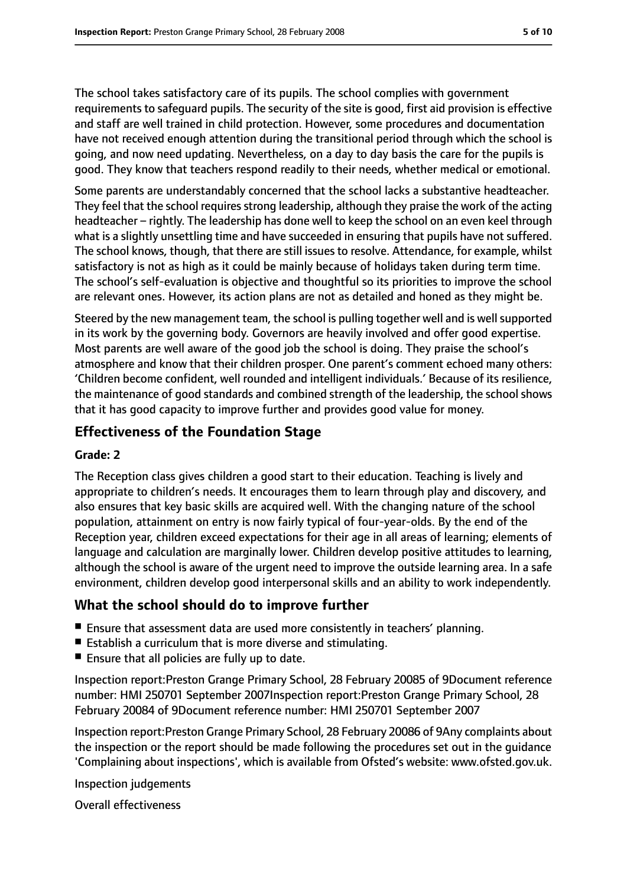The school takes satisfactory care of its pupils. The school complies with government requirements to safeguard pupils. The security of the site is good, first aid provision is effective and staff are well trained in child protection. However, some procedures and documentation have not received enough attention during the transitional period through which the school is going, and now need updating. Nevertheless, on a day to day basis the care for the pupils is good. They know that teachers respond readily to their needs, whether medical or emotional.

Some parents are understandably concerned that the school lacks a substantive headteacher. They feel that the school requires strong leadership, although they praise the work of the acting headteacher - rightly. The leadership has done well to keep the school on an even keel through what is a slightly unsettling time and have succeeded in ensuring that pupils have not suffered. The school knows, though, that there are still issues to resolve. Attendance, for example, whilst satisfactory is not as high as it could be mainly because of holidays taken during term time. The school's self-evaluation is objective and thoughtful so its priorities to improve the school are relevant ones. However, its action plans are not as detailed and honed as they might be.

Steered by the new management team, the school is pulling together well and is well supported in its work by the governing body. Governors are heavily involved and offer good expertise. Most parents are well aware of the good job the school is doing. They praise the school's atmosphere and know that their children prosper. One parent's comment echoed many others: 'Children become confident, well rounded and intelligent individuals.' Because of its resilience, the maintenance of good standards and combined strength of the leadership, the school shows that it has good capacity to improve further and provides good value for money.

## **Effectiveness of the Foundation Stage**

### **Grade: 2**

The Reception class gives children a good start to their education. Teaching is lively and appropriate to children's needs. It encourages them to learn through play and discovery, and also ensures that key basic skills are acquired well. With the changing nature of the school population, attainment on entry is now fairly typical of four-year-olds. By the end of the Reception year, children exceed expectations for their age in all areas of learning; elements of language and calculation are marginally lower. Children develop positive attitudes to learning, although the school is aware of the urgent need to improve the outside learning area. In a safe environment, children develop good interpersonal skills and an ability to work independently.

## **What the school should do to improve further**

- Ensure that assessment data are used more consistently in teachers' planning.
- Establish a curriculum that is more diverse and stimulating.
- Ensure that all policies are fully up to date.

Inspection report:Preston Grange Primary School, 28 February 20085 of 9Document reference number: HMI 250701 September 2007Inspection report:Preston Grange Primary School, 28 February 20084 of 9Document reference number: HMI 250701 September 2007

Inspection report:Preston Grange Primary School, 28 February 20086 of 9Any complaints about the inspection or the report should be made following the procedures set out in the guidance 'Complaining about inspections', which is available from Ofsted's website: www.ofsted.gov.uk.

Inspection judgements

Overall effectiveness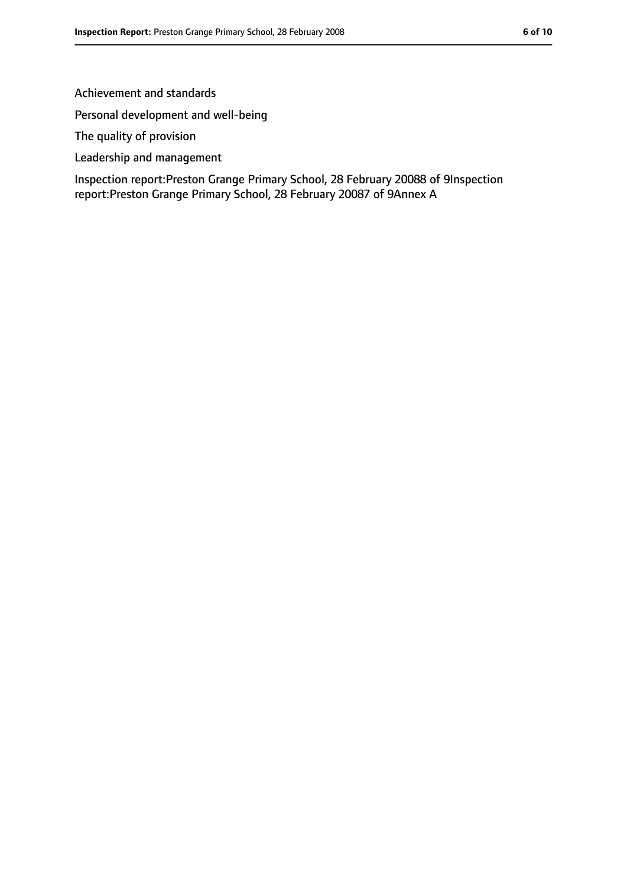#### Achievement and standards

Personal development and well-being

The quality of provision

Leadership and management

Inspection report:Preston Grange Primary School, 28 February 20088 of 9Inspection report:Preston Grange Primary School, 28 February 20087 of 9Annex A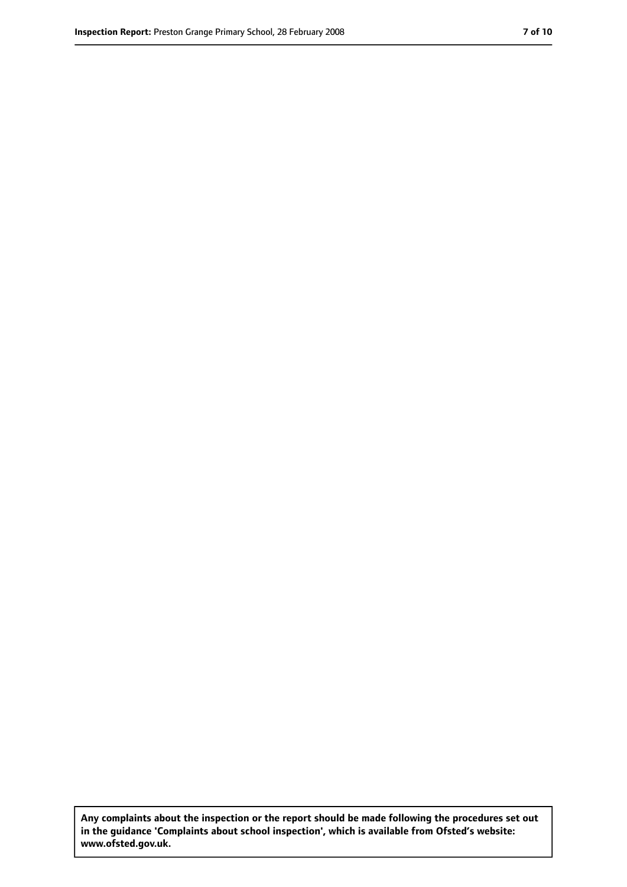**Any complaints about the inspection or the report should be made following the procedures set out in the guidance 'Complaints about school inspection', which is available from Ofsted's website: www.ofsted.gov.uk.**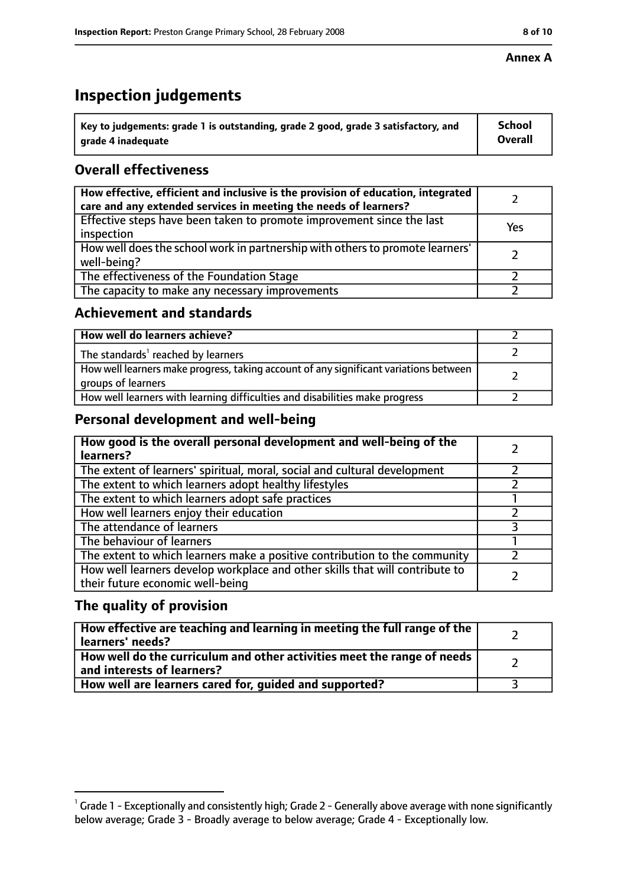# **Inspection judgements**

| $^{\backprime}$ Key to judgements: grade 1 is outstanding, grade 2 good, grade 3 satisfactory, and | <b>School</b>  |
|----------------------------------------------------------------------------------------------------|----------------|
| arade 4 inadeguate                                                                                 | <b>Overall</b> |

## **Overall effectiveness**

| How effective, efficient and inclusive is the provision of education, integrated<br>care and any extended services in meeting the needs of learners? |     |
|------------------------------------------------------------------------------------------------------------------------------------------------------|-----|
| Effective steps have been taken to promote improvement since the last<br>inspection                                                                  | Yes |
| How well does the school work in partnership with others to promote learners'<br>well-being?                                                         |     |
| The effectiveness of the Foundation Stage                                                                                                            |     |
| The capacity to make any necessary improvements                                                                                                      |     |

## **Achievement and standards**

| How well do learners achieve?                                                                               |  |
|-------------------------------------------------------------------------------------------------------------|--|
| The standards <sup>1</sup> reached by learners                                                              |  |
| How well learners make progress, taking account of any significant variations between<br>groups of learners |  |
| How well learners with learning difficulties and disabilities make progress                                 |  |

## **Personal development and well-being**

| How good is the overall personal development and well-being of the<br>learners?                                  |  |
|------------------------------------------------------------------------------------------------------------------|--|
| The extent of learners' spiritual, moral, social and cultural development                                        |  |
| The extent to which learners adopt healthy lifestyles                                                            |  |
| The extent to which learners adopt safe practices                                                                |  |
| How well learners enjoy their education                                                                          |  |
| The attendance of learners                                                                                       |  |
| The behaviour of learners                                                                                        |  |
| The extent to which learners make a positive contribution to the community                                       |  |
| How well learners develop workplace and other skills that will contribute to<br>their future economic well-being |  |

## **The quality of provision**

| How effective are teaching and learning in meeting the full range of the<br>learners' needs?          |  |
|-------------------------------------------------------------------------------------------------------|--|
| How well do the curriculum and other activities meet the range of needs<br>and interests of learners? |  |
| How well are learners cared for, quided and supported?                                                |  |

 $^1$  Grade 1 - Exceptionally and consistently high; Grade 2 - Generally above average with none significantly below average; Grade 3 - Broadly average to below average; Grade 4 - Exceptionally low.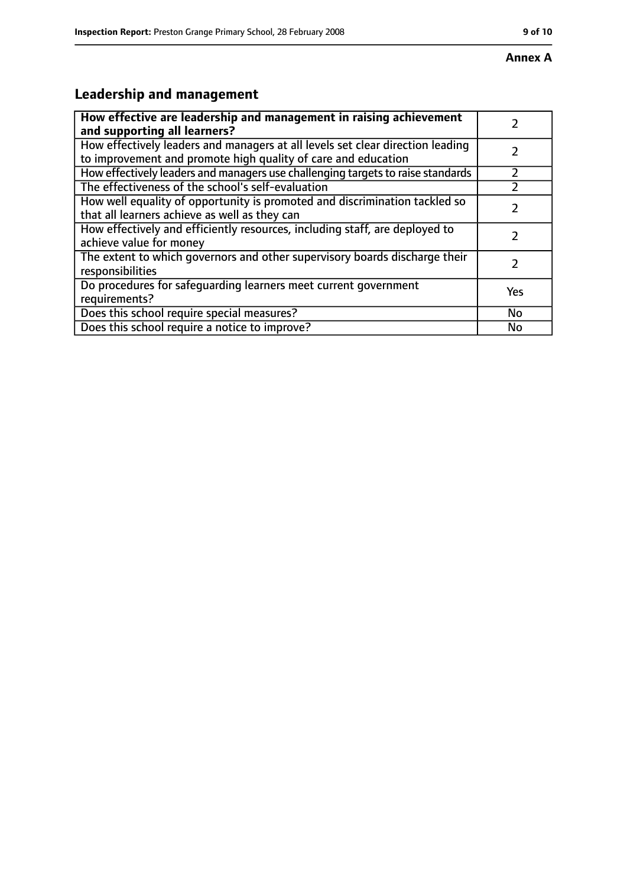# **Leadership and management**

| How effective are leadership and management in raising achievement<br>and supporting all learners?                                              |           |
|-------------------------------------------------------------------------------------------------------------------------------------------------|-----------|
| How effectively leaders and managers at all levels set clear direction leading<br>to improvement and promote high quality of care and education |           |
| How effectively leaders and managers use challenging targets to raise standards                                                                 |           |
| The effectiveness of the school's self-evaluation                                                                                               |           |
| How well equality of opportunity is promoted and discrimination tackled so<br>that all learners achieve as well as they can                     |           |
| How effectively and efficiently resources, including staff, are deployed to<br>achieve value for money                                          | 7         |
| The extent to which governors and other supervisory boards discharge their<br>responsibilities                                                  |           |
| Do procedures for safequarding learners meet current government<br>requirements?                                                                | Yes       |
| Does this school require special measures?                                                                                                      | <b>No</b> |
| Does this school require a notice to improve?                                                                                                   | No        |